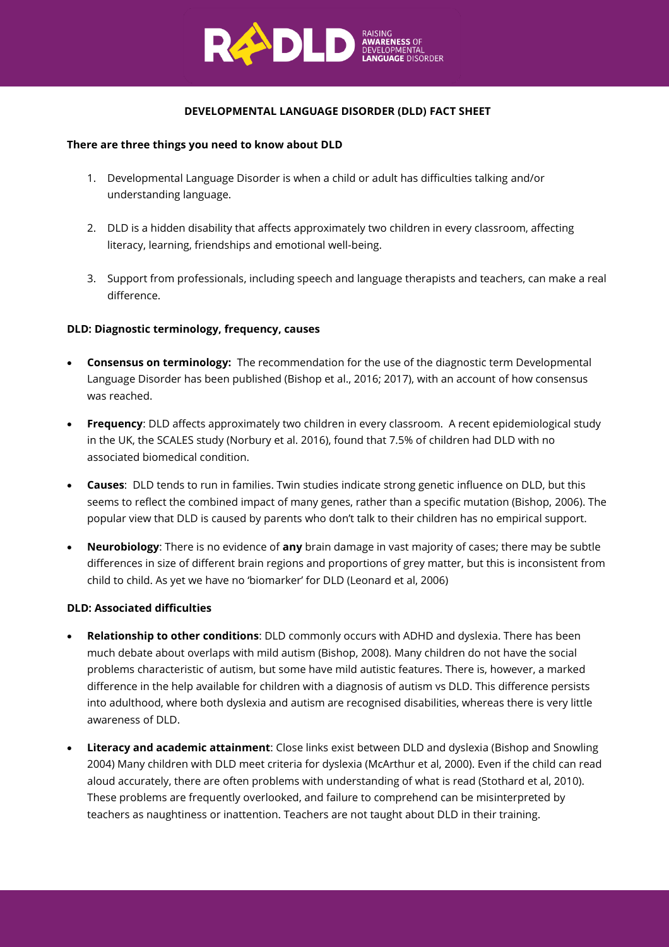

## **DEVELOPMENTAL LANGUAGE DISORDER (DLD) FACT SHEET**

#### **There are three things you need to know about DLD**

- 1. Developmental Language Disorder is when a child or adult has difficulties talking and/or understanding language.
- 2. DLD is a hidden disability that affects approximately two children in every classroom, affecting literacy, learning, friendships and emotional well-being.
- 3. Support from professionals, including speech and language therapists and teachers, can make a real difference.

### **DLD: Diagnostic terminology, frequency, causes**

- **Consensus on terminology:** The recommendation for the use of the diagnostic term Developmental Language Disorder has been published (Bishop et al., 2016; 2017), with an account of how consensus was reached.
- **Frequency**: DLD affects approximately two children in every classroom. A recent epidemiological study in the UK, the SCALES study (Norbury et al. 2016), found that 7.5% of children had DLD with no associated biomedical condition.
- **Causes**: DLD tends to run in families. Twin studies indicate strong genetic influence on DLD, but this seems to reflect the combined impact of many genes, rather than a specific mutation (Bishop, 2006). The popular view that DLD is caused by parents who don't talk to their children has no empirical support.
- **Neurobiology**: There is no evidence of **any** brain damage in vast majority of cases; there may be subtle differences in size of different brain regions and proportions of grey matter, but this is inconsistent from child to child. As yet we have no 'biomarker' for DLD (Leonard et al, 2006)

### **DLD: Associated difficulties**

- **Relationship to other conditions**: DLD commonly occurs with ADHD and dyslexia. There has been much debate about overlaps with mild autism (Bishop, 2008). Many children do not have the social problems characteristic of autism, but some have mild autistic features. There is, however, a marked difference in the help available for children with a diagnosis of autism vs DLD. This difference persists into adulthood, where both dyslexia and autism are recognised disabilities, whereas there is very little awareness of DLD.
- **Literacy and academic attainment**: Close links exist between DLD and dyslexia (Bishop and Snowling 2004) Many children with DLD meet criteria for dyslexia (McArthur et al, 2000). Even if the child can read aloud accurately, there are often problems with understanding of what is read (Stothard et al, 2010). These problems are frequently overlooked, and failure to comprehend can be misinterpreted by teachers as naughtiness or inattention. Teachers are not taught about DLD in their training.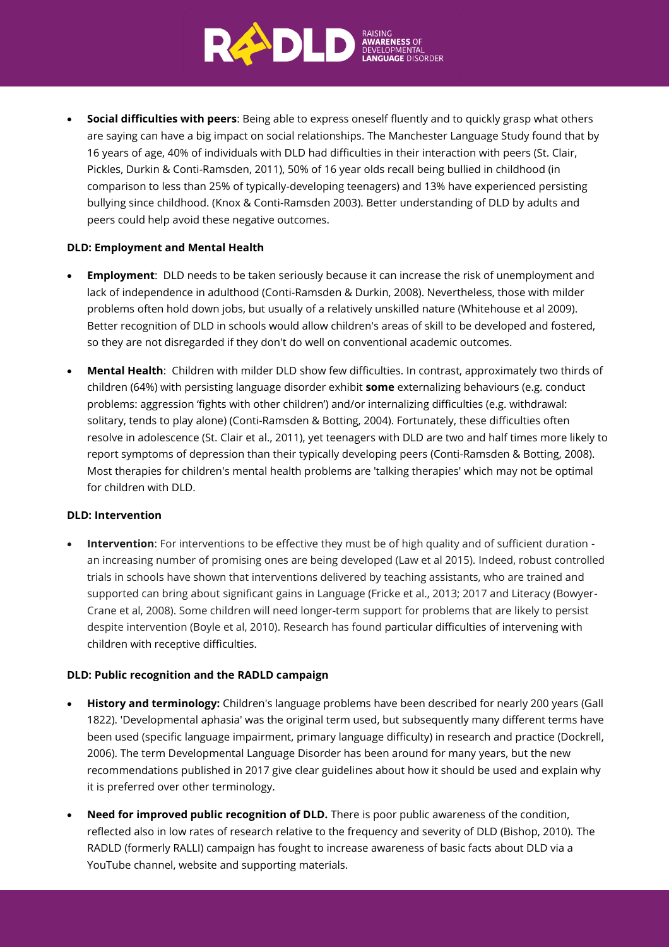

• **Social difficulties with peers**: Being able to express oneself fluently and to quickly grasp what others are saying can have a big impact on social relationships. The Manchester Language Study found that by 16 years of age, 40% of individuals with DLD had difficulties in their interaction with peers (St. Clair, Pickles, Durkin & Conti-Ramsden, 2011), 50% of 16 year olds recall being bullied in childhood (in comparison to less than 25% of typically-developing teenagers) and 13% have experienced persisting bullying since childhood. (Knox & Conti-Ramsden 2003). Better understanding of DLD by adults and peers could help avoid these negative outcomes.

### **DLD: Employment and Mental Health**

- **Employment**: DLD needs to be taken seriously because it can increase the risk of unemployment and lack of independence in adulthood (Conti-Ramsden & Durkin, 2008). Nevertheless, those with milder problems often hold down jobs, but usually of a relatively unskilled nature (Whitehouse et al 2009). Better recognition of DLD in schools would allow children's areas of skill to be developed and fostered, so they are not disregarded if they don't do well on conventional academic outcomes.
- **Mental Health**: Children with milder DLD show few difficulties. In contrast, approximately two thirds of children (64%) with persisting language disorder exhibit **some** externalizing behaviours (e.g. conduct problems: aggression 'fights with other children') and/or internalizing difficulties (e.g. withdrawal: solitary, tends to play alone) (Conti-Ramsden & Botting, 2004). Fortunately, these difficulties often resolve in adolescence (St. Clair et al., 2011), yet teenagers with DLD are two and half times more likely to report symptoms of depression than their typically developing peers (Conti-Ramsden & Botting, 2008). Most therapies for children's mental health problems are 'talking therapies' which may not be optimal for children with DLD.

### **DLD: Intervention**

• **Intervention**: For interventions to be effective they must be of high quality and of sufficient duration an increasing number of promising ones are being developed (Law et al 2015). Indeed, robust controlled trials in schools have shown that interventions delivered by teaching assistants, who are trained and supported can bring about significant gains in Language (Fricke et al., 2013; 2017 and Literacy (Bowyer-Crane et al, 2008). Some children will need longer-term support for problems that are likely to persist despite intervention (Boyle et al, 2010). Research has found particular difficulties of intervening with children with receptive difficulties.

# **DLD: Public recognition and the RADLD campaign**

- **History and terminology:** Children's language problems have been described for nearly 200 years (Gall 1822). 'Developmental aphasia' was the original term used, but subsequently many different terms have been used (specific language impairment, primary language difficulty) in research and practice (Dockrell, 2006). The term Developmental Language Disorder has been around for many years, but the new recommendations published in 2017 give clear guidelines about how it should be used and explain why it is preferred over other terminology.
- **Need for improved public recognition of DLD.** There is poor public awareness of the condition, reflected also in low rates of research relative to the frequency and severity of DLD (Bishop, 2010). The RADLD (formerly RALLI) campaign has fought to increase awareness of basic facts about DLD via a YouTube channel, website and supporting materials.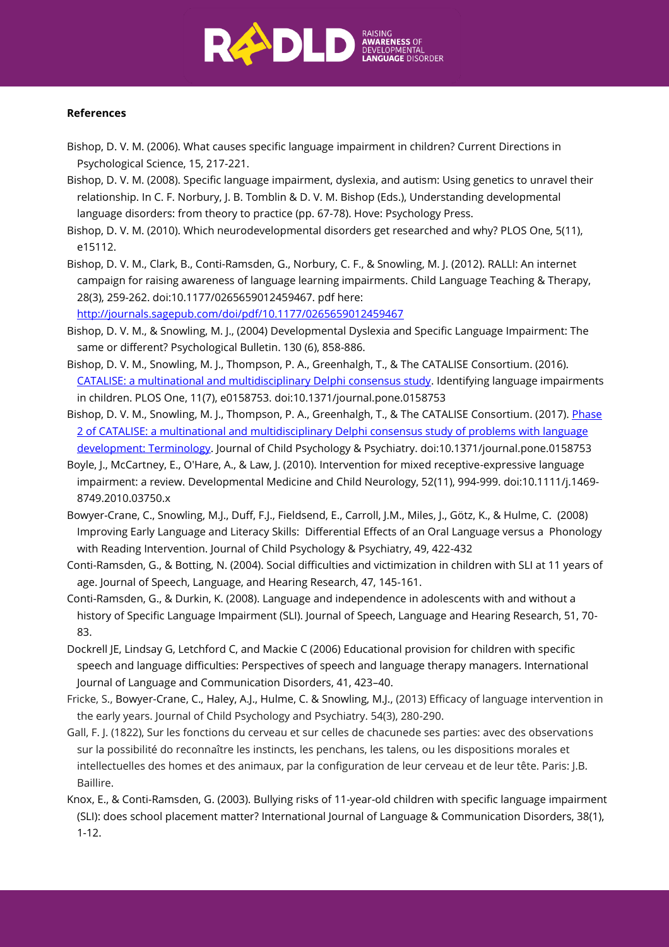

#### **References**

- Bishop, D. V. M. (2006). What causes specific language impairment in children? Current Directions in Psychological Science, 15, 217-221.
- Bishop, D. V. M. (2008). Specific language impairment, dyslexia, and autism: Using genetics to unravel their relationship. In C. F. Norbury, J. B. Tomblin & D. V. M. Bishop (Eds.), Understanding developmental language disorders: from theory to practice (pp. 67-78). Hove: Psychology Press.
- Bishop, D. V. M. (2010). Which neurodevelopmental disorders get researched and why? PLOS One, 5(11), e15112.
- Bishop, D. V. M., Clark, B., Conti-Ramsden, G., Norbury, C. F., & Snowling, M. J. (2012). RALLI: An internet campaign for raising awareness of language learning impairments. Child Language Teaching & Therapy, 28(3), 259-262. doi:10.1177/0265659012459467. pdf here:

<http://journals.sagepub.com/doi/pdf/10.1177/0265659012459467>

- Bishop, D. V. M., & Snowling, M. J., (2004) Developmental Dyslexia and Specific Language Impairment: The same or different? Psychological Bulletin. 130 (6), 858-886.
- Bishop, D. V. M., Snowling, M. J., Thompson, P. A., Greenhalgh, T., & The CATALISE Consortium. (2016). [CATALISE: a multinational and multidisciplinary Delphi consensus study.](http://journals.plos.org/plosone/article?id=10.1371/journal.pone.0158753) Identifying language impairments in children. PLOS One, 11(7), e0158753. doi:10.1371/journal.pone.0158753
- Bishop, D. V. M., Snowling, M. J., Thompson, P. A., Greenhalgh, T., & The CATALISE Consortium. (2017). Phase [2 of CATALISE: a multinational and multidisciplinary Delphi consensus study of problems with language](http://onlinelibrary.wiley.com/doi/10.1111/jcpp.12721/abstract)  [development: Terminology.](http://onlinelibrary.wiley.com/doi/10.1111/jcpp.12721/abstract) Journal of Child Psychology & Psychiatry. doi:10.1371/journal.pone.0158753
- Boyle, J., McCartney, E., O'Hare, A., & Law, J. (2010). Intervention for mixed receptive-expressive language impairment: a review. Developmental Medicine and Child Neurology, 52(11), 994-999. doi:10.1111/j.1469- 8749.2010.03750.x
- Bowyer-Crane, C., Snowling, M.J., Duff, F.J., Fieldsend, E., Carroll, J.M., Miles, J., Götz, K., & Hulme, C. (2008) Improving Early Language and Literacy Skills: Differential Effects of an Oral Language versus a Phonology with Reading Intervention. Journal of Child Psychology & Psychiatry, 49, 422-432
- Conti-Ramsden, G., & Botting, N. (2004). Social difficulties and victimization in children with SLI at 11 years of age. Journal of Speech, Language, and Hearing Research, 47, 145-161.
- Conti-Ramsden, G., & Durkin, K. (2008). Language and independence in adolescents with and without a history of Specific Language Impairment (SLI). Journal of Speech, Language and Hearing Research, 51, 70- 83.
- Dockrell JE, Lindsay G, Letchford C, and Mackie C (2006) Educational provision for children with specific speech and language difficulties: Perspectives of speech and language therapy managers. International Journal of Language and Communication Disorders, 41, 423–40.
- Fricke, S., Bowyer-Crane, C., Haley, A.J., Hulme, C. & Snowling, M.J., (2013) Efficacy of language intervention in the early years. Journal of Child Psychology and Psychiatry. 54(3), 280-290.
- Gall, F. J. (1822), Sur les fonctions du cerveau et sur celles de chacunede ses parties: avec des observations sur la possibilité do reconnaître les instincts, les penchans, les talens, ou les dispositions morales et intellectuelles des homes et des animaux, par la configuration de leur cerveau et de leur tête. Paris: J.B. Baillire.
- Knox, E., & Conti-Ramsden, G. (2003). Bullying risks of 11-year-old children with specific language impairment (SLI): does school placement matter? International Journal of Language & Communication Disorders, 38(1), 1-12.